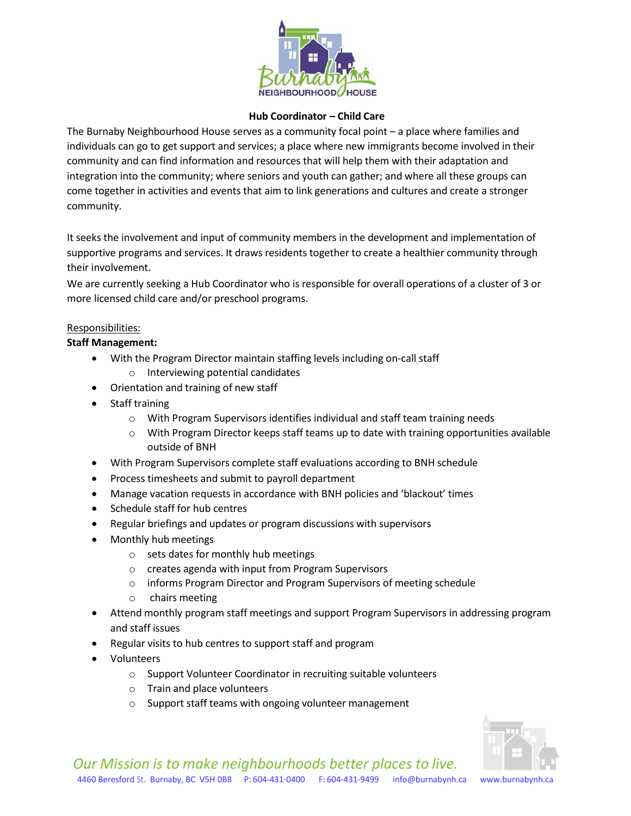

## **Hub Coordinator – Child Care**

The Burnaby Neighbourhood House serves as a community focal point – a place where families and individuals can go to get support and services; a place where new immigrants become involved in their community and can find information and resources that will help them with their adaptation and integration into the community; where seniors and youth can gather; and where all these groups can come together in activities and events that aim to link generations and cultures and create a stronger community.

It seeks the involvement and input of community members in the development and implementation of supportive programs and services. It draws residents together to create a healthier community through their involvement.

We are currently seeking a Hub Coordinator who is responsible for overall operations of a cluster of 3 or more licensed child care and/or preschool programs.

## Responsibilities:

## **Staff Management:**

- With the Program Director maintain staffing levels including on-call staff o Interviewing potential candidates
- Orientation and training of new staff
- Staff training
	- o With Program Supervisors identifies individual and staff team training needs
	- o With Program Director keeps staff teams up to date with training opportunities available outside of BNH
- With Program Supervisors complete staff evaluations according to BNH schedule
- Process timesheets and submit to payroll department
- Manage vacation requests in accordance with BNH policies and 'blackout' times
- Schedule staff for hub centres
- Regular briefings and updates or program discussions with supervisors
- Monthly hub meetings
	- o sets dates for monthly hub meetings
	- o creates agenda with input from Program Supervisors
	- o informs Program Director and Program Supervisors of meeting schedule
	- o chairs meeting
- Attend monthly program staff meetings and support Program Supervisors in addressing program and staff issues
- Regular visits to hub centres to support staff and program
- Volunteers
	- o Support Volunteer Coordinator in recruiting suitable volunteers
	- o Train and place volunteers
	- o Support staff teams with ongoing volunteer management

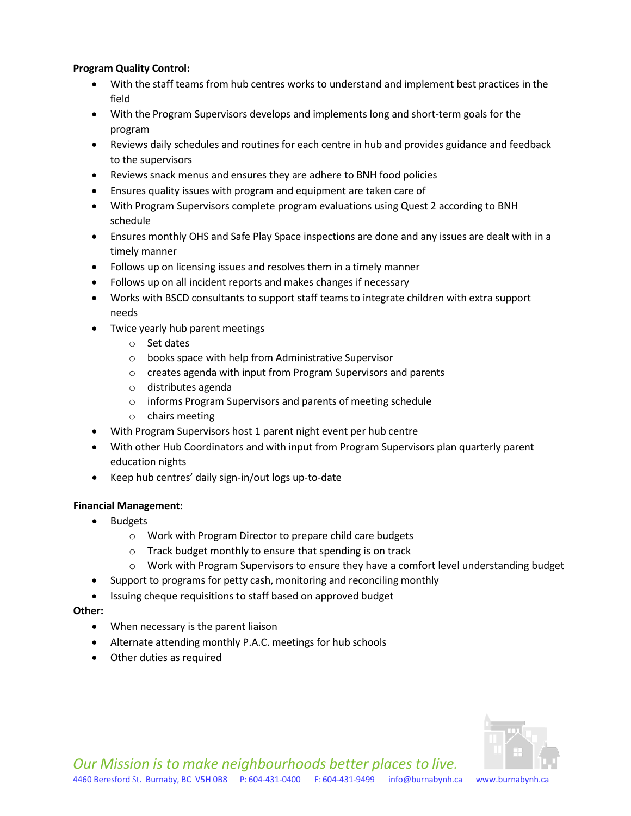# **Program Quality Control:**

- With the staff teams from hub centres works to understand and implement best practices in the field
- With the Program Supervisors develops and implements long and short-term goals for the program
- Reviews daily schedules and routines for each centre in hub and provides guidance and feedback to the supervisors
- Reviews snack menus and ensures they are adhere to BNH food policies
- Ensures quality issues with program and equipment are taken care of
- With Program Supervisors complete program evaluations using Quest 2 according to BNH schedule
- Ensures monthly OHS and Safe Play Space inspections are done and any issues are dealt with in a timely manner
- Follows up on licensing issues and resolves them in a timely manner
- Follows up on all incident reports and makes changes if necessary
- Works with BSCD consultants to support staff teams to integrate children with extra support needs
- Twice yearly hub parent meetings
	- o Set dates
	- o books space with help from Administrative Supervisor
	- o creates agenda with input from Program Supervisors and parents
	- o distributes agenda
	- o informs Program Supervisors and parents of meeting schedule
	- o chairs meeting
- With Program Supervisors host 1 parent night event per hub centre
- With other Hub Coordinators and with input from Program Supervisors plan quarterly parent education nights
- Keep hub centres' daily sign-in/out logs up-to-date

## **Financial Management:**

- Budgets
	- o Work with Program Director to prepare child care budgets
	- o Track budget monthly to ensure that spending is on track
	- o Work with Program Supervisors to ensure they have a comfort level understanding budget
- Support to programs for petty cash, monitoring and reconciling monthly
- Issuing cheque requisitions to staff based on approved budget

## **Other:**

- When necessary is the parent liaison
- Alternate attending monthly P.A.C. meetings for hub schools
- Other duties as required

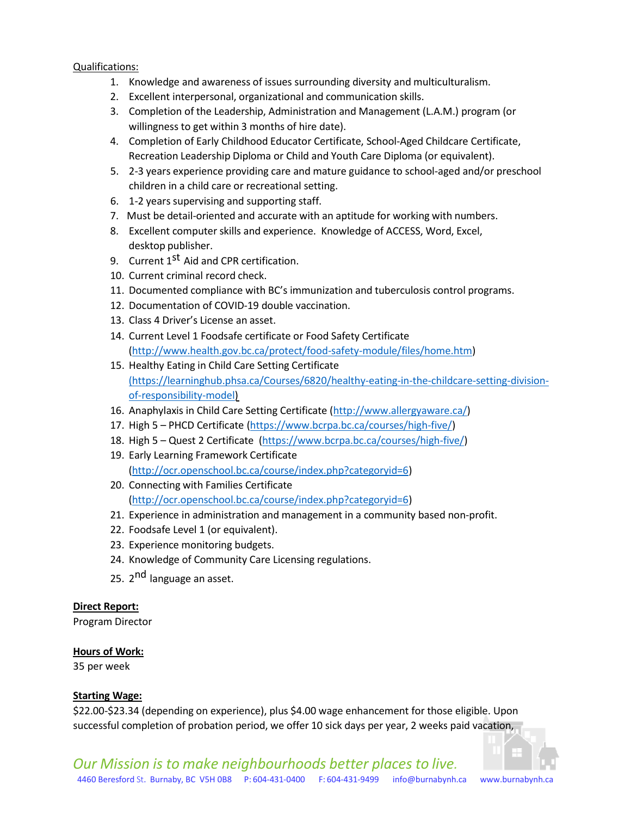## Qualifications:

- 1. Knowledge and awareness of issues surrounding diversity and multiculturalism.
- 2. Excellent interpersonal, organizational and communication skills.
- 3. Completion of the Leadership, Administration and Management (L.A.M.) program (or willingness to get within 3 months of hire date).
- 4. Completion of Early Childhood Educator Certificate, School-Aged Childcare Certificate, Recreation Leadership Diploma or Child and Youth Care Diploma (or equivalent).
- 5. 2-3 years experience providing care and mature guidance to school-aged and/or preschool children in a child care or recreational setting.
- 6. 1-2 years supervising and supporting staff.
- 7. Must be detail-oriented and accurate with an aptitude for working with numbers.
- 8. Excellent computer skills and experience. Knowledge of ACCESS, Word, Excel, desktop publisher.
- 9. Current 1<sup>st</sup> Aid and CPR certification.
- 10. Current criminal record check.
- 11. Documented compliance with BC's immunization and tuberculosis control programs.
- 12. Documentation of COVID-19 double vaccination.
- 13. Class 4 Driver's License an asset.
- 14. Current Level 1 Foodsafe certificate or Food Safety Certificate [\(http://www.health.gov.bc.ca/protect/food-safety-module/files/home.htm\)](http://www.health.gov.bc.ca/protect/food-safety-module/files/home.htm)
- 15. Healthy Eating in Child Care Setting Certificate (https://learninghub.phsa.ca/Courses/6820/healthy-eating-in-the-childcare-setting-divisionof-responsibility-model)
- 16. Anaphylaxis in Child Care Setting Certificate [\(http://www.allergyaware.ca/\)](http://www.allergyaware.ca/)
- 17. High 5 PHCD Certificate [\(https://www.bcrpa.bc.ca/courses/high-five/\)](https://www.bcrpa.bc.ca/courses/high-five/)
- 18. High 5 Quest 2 Certificate [\(https://www.bcrpa.bc.ca/courses/high-five/\)](https://www.bcrpa.bc.ca/courses/high-five/)
- 19. Early Learning Framework Certificate [\(http://ocr.openschool.bc.ca/course/index.php?categoryid=6\)](http://ocr.openschool.bc.ca/course/index.php?categoryid=6)
- 20. Connecting with Families Certificate [\(http://ocr.openschool.bc.ca/course/index.php?categoryid=6\)](http://ocr.openschool.bc.ca/course/index.php?categoryid=6)
- 21. Experience in administration and management in a community based non-profit.
- 22. Foodsafe Level 1 (or equivalent).
- 23. Experience monitoring budgets.
- 24. Knowledge of Community Care Licensing regulations.
- 25. 2<sup>nd</sup> language an asset.

## **Direct Report:**

Program Director

## **Hours of Work:**

35 per week

## **Starting Wage:**

\$22.00-\$23.34 (depending on experience), plus \$4.00 wage enhancement for those eligible. Upon successful completion of probation period, we offer 10 sick days per year, 2 weeks paid vacation,



*Our Mission is to make neighbourhoods better places to live.* 4460 Beresford St. Burnaby, BC V5H 0B8 P: 604-431-0400 F: 604-431-9499 [info@burnabynh.ca](mailto:info@burnabynh.ca) [www.burnabynh.ca](http://www.burnabynh.ca/)